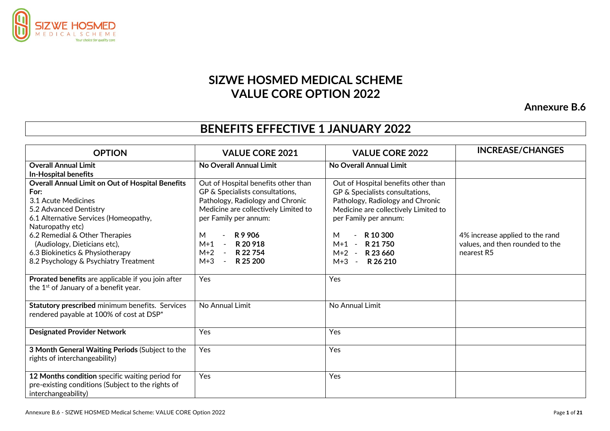

## **SIZWE HOSMED MEDICAL SCHEME VALUE CORE OPTION 2022**

**Annexure B.6**

## **BENEFITS EFFECTIVE 1 JANUARY 2022**

| <b>OPTION</b>                                                                                                                                                                                                                                                                                                               | <b>VALUE CORE 2021</b>                                                                                                                                                                                                                                                                                               | <b>VALUE CORE 2022</b>                                                                                                                                                                                                                                      | <b>INCREASE/CHANGES</b>                                                          |
|-----------------------------------------------------------------------------------------------------------------------------------------------------------------------------------------------------------------------------------------------------------------------------------------------------------------------------|----------------------------------------------------------------------------------------------------------------------------------------------------------------------------------------------------------------------------------------------------------------------------------------------------------------------|-------------------------------------------------------------------------------------------------------------------------------------------------------------------------------------------------------------------------------------------------------------|----------------------------------------------------------------------------------|
| <b>Overall Annual Limit</b><br><b>In-Hospital benefits</b>                                                                                                                                                                                                                                                                  | No Overall Annual Limit                                                                                                                                                                                                                                                                                              | No Overall Annual Limit                                                                                                                                                                                                                                     |                                                                                  |
| <b>Overall Annual Limit on Out of Hospital Benefits</b><br>For:<br>3.1 Acute Medicines<br>5.2 Advanced Dentistry<br>6.1 Alternative Services (Homeopathy,<br>Naturopathy etc)<br>6.2 Remedial & Other Therapies<br>(Audiology, Dieticians etc),<br>6.3 Biokinetics & Physiotherapy<br>8.2 Psychology & Psychiatry Treatment | Out of Hospital benefits other than<br>GP & Specialists consultations,<br>Pathology, Radiology and Chronic<br>Medicine are collectively Limited to<br>per Family per annum:<br>M<br>R9906<br>$\blacksquare$<br>$M+1$<br>R 20 918<br>$\sim$ $-$<br>$M+2$<br>R 22 754<br>$\sim 100$<br>$M+3$<br>R 25 200<br>$\sim$ $-$ | Out of Hospital benefits other than<br>GP & Specialists consultations,<br>Pathology, Radiology and Chronic<br>Medicine are collectively Limited to<br>per Family per annum:<br>R 10 300<br>м<br>$-R$ 21 750<br>$M+1$<br>M+2 - R23 660<br>$M+3$<br>$-R26210$ | 4% increase applied to the rand<br>values, and then rounded to the<br>nearest R5 |
| Prorated benefits are applicable if you join after<br>the 1 <sup>st</sup> of January of a benefit year.                                                                                                                                                                                                                     | Yes                                                                                                                                                                                                                                                                                                                  | Yes                                                                                                                                                                                                                                                         |                                                                                  |
| Statutory prescribed minimum benefits. Services<br>rendered payable at 100% of cost at DSP*                                                                                                                                                                                                                                 | No Annual Limit                                                                                                                                                                                                                                                                                                      | No Annual Limit                                                                                                                                                                                                                                             |                                                                                  |
| <b>Designated Provider Network</b>                                                                                                                                                                                                                                                                                          | Yes                                                                                                                                                                                                                                                                                                                  | Yes                                                                                                                                                                                                                                                         |                                                                                  |
| 3 Month General Waiting Periods (Subject to the<br>rights of interchangeability)                                                                                                                                                                                                                                            | Yes                                                                                                                                                                                                                                                                                                                  | Yes                                                                                                                                                                                                                                                         |                                                                                  |
| 12 Months condition specific waiting period for<br>pre-existing conditions (Subject to the rights of<br>interchangeability)                                                                                                                                                                                                 | Yes                                                                                                                                                                                                                                                                                                                  | Yes                                                                                                                                                                                                                                                         |                                                                                  |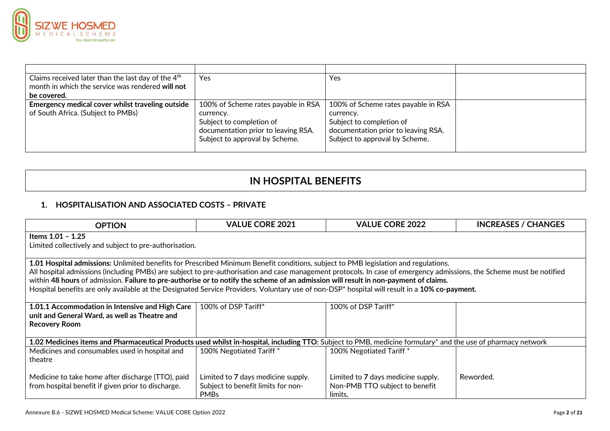

| Claims received later than the last day of the 4 <sup>th</sup> | Yes                                 | Yes                                 |  |
|----------------------------------------------------------------|-------------------------------------|-------------------------------------|--|
| month in which the service was rendered will not               |                                     |                                     |  |
| be covered.                                                    |                                     |                                     |  |
| Emergency medical cover whilst traveling outside               | 100% of Scheme rates payable in RSA | 100% of Scheme rates payable in RSA |  |
| of South Africa. (Subject to PMBs)                             | currency.                           | currency.                           |  |
|                                                                | Subject to completion of            | Subject to completion of            |  |
|                                                                | documentation prior to leaving RSA. | documentation prior to leaving RSA. |  |
|                                                                | Subject to approval by Scheme.      | Subject to approval by Scheme.      |  |
|                                                                |                                     |                                     |  |

## **IN HOSPITAL BENEFITS**

## **1. HOSPITALISATION AND ASSOCIATED COSTS – PRIVATE**

| <b>OPTION</b>                                                                                                                                                                                                                                                                                                                                                                                                                                                                                                                                                                                         | <b>VALUE CORE 2021</b>                                                                  | <b>VALUE CORE 2022</b>                                                          | <b>INCREASES / CHANGES</b> |  |
|-------------------------------------------------------------------------------------------------------------------------------------------------------------------------------------------------------------------------------------------------------------------------------------------------------------------------------------------------------------------------------------------------------------------------------------------------------------------------------------------------------------------------------------------------------------------------------------------------------|-----------------------------------------------------------------------------------------|---------------------------------------------------------------------------------|----------------------------|--|
| Items $1.01 - 1.25$                                                                                                                                                                                                                                                                                                                                                                                                                                                                                                                                                                                   |                                                                                         |                                                                                 |                            |  |
| Limited collectively and subject to pre-authorisation.                                                                                                                                                                                                                                                                                                                                                                                                                                                                                                                                                |                                                                                         |                                                                                 |                            |  |
| 1.01 Hospital admissions: Unlimited benefits for Prescribed Minimum Benefit conditions, subject to PMB legislation and regulations.<br>All hospital admissions (including PMBs) are subject to pre-authorisation and case management protocols. In case of emergency admissions, the Scheme must be notified<br>within 48 hours of admission. Failure to pre-authorise or to notify the scheme of an admission will result in non-payment of claims.<br>Hospital benefits are only available at the Designated Service Providers. Voluntary use of non-DSP* hospital will result in a 10% co-payment. |                                                                                         |                                                                                 |                            |  |
| 1.01.1 Accommodation in Intensive and High Care<br>unit and General Ward, as well as Theatre and<br><b>Recovery Room</b>                                                                                                                                                                                                                                                                                                                                                                                                                                                                              | 100% of DSP Tariff*                                                                     | 100% of DSP Tariff*                                                             |                            |  |
| 1.02 Medicines items and Pharmaceutical Products used whilst in-hospital, including TTO: Subject to PMB, medicine formulary* and the use of pharmacy network                                                                                                                                                                                                                                                                                                                                                                                                                                          |                                                                                         |                                                                                 |                            |  |
| Medicines and consumables used in hospital and<br>theatre                                                                                                                                                                                                                                                                                                                                                                                                                                                                                                                                             | 100% Negotiated Tariff*                                                                 | 100% Negotiated Tariff*                                                         |                            |  |
| Medicine to take home after discharge (TTO), paid<br>from hospital benefit if given prior to discharge.                                                                                                                                                                                                                                                                                                                                                                                                                                                                                               | Limited to 7 days medicine supply.<br>Subject to benefit limits for non-<br><b>PMBs</b> | Limited to 7 days medicine supply.<br>Non-PMB TTO subject to benefit<br>limits. | Reworded.                  |  |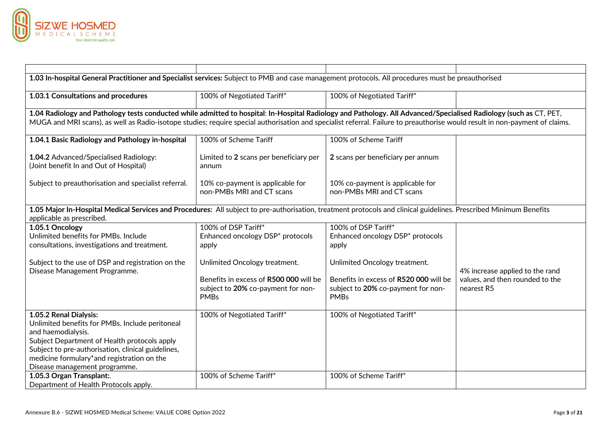

| 1.03 In-hospital General Practitioner and Specialist services: Subject to PMB and case management protocols. All procedures must be preauthorised                                                                                                                                                                                                  |                                                                                                                              |                                                                                                                              |                                                                                  |  |
|----------------------------------------------------------------------------------------------------------------------------------------------------------------------------------------------------------------------------------------------------------------------------------------------------------------------------------------------------|------------------------------------------------------------------------------------------------------------------------------|------------------------------------------------------------------------------------------------------------------------------|----------------------------------------------------------------------------------|--|
| 1.03.1 Consultations and procedures                                                                                                                                                                                                                                                                                                                | 100% of Negotiated Tariff*                                                                                                   | 100% of Negotiated Tariff*                                                                                                   |                                                                                  |  |
| 1.04 Radiology and Pathology tests conducted while admitted to hospital: In-Hospital Radiology and Pathology. All Advanced/Specialised Radiology (such as CT, PET,<br>MUGA and MRI scans), as well as Radio-isotope studies; require special authorisation and specialist referral. Failure to preauthorise would result in non-payment of claims. |                                                                                                                              |                                                                                                                              |                                                                                  |  |
| 1.04.1 Basic Radiology and Pathology in-hospital                                                                                                                                                                                                                                                                                                   | 100% of Scheme Tariff                                                                                                        | 100% of Scheme Tariff                                                                                                        |                                                                                  |  |
| 1.04.2 Advanced/Specialised Radiology:<br>(Joint benefit In and Out of Hospital)                                                                                                                                                                                                                                                                   | Limited to 2 scans per beneficiary per<br>annum                                                                              | 2 scans per beneficiary per annum                                                                                            |                                                                                  |  |
| Subject to preauthorisation and specialist referral.                                                                                                                                                                                                                                                                                               | 10% co-payment is applicable for<br>non-PMBs MRI and CT scans                                                                | 10% co-payment is applicable for<br>non-PMBs MRI and CT scans                                                                |                                                                                  |  |
| 1.05 Major In-Hospital Medical Services and Procedures: All subject to pre-authorisation, treatment protocols and clinical guidelines. Prescribed Minimum Benefits<br>applicable as prescribed.                                                                                                                                                    |                                                                                                                              |                                                                                                                              |                                                                                  |  |
| 1.05.1 Oncology<br>Unlimited benefits for PMBs. Include<br>consultations, investigations and treatment.                                                                                                                                                                                                                                            | 100% of DSP Tariff*<br>Enhanced oncology DSP* protocols<br>apply                                                             | 100% of DSP Tariff*<br>Enhanced oncology DSP* protocols<br>apply                                                             |                                                                                  |  |
| Subject to the use of DSP and registration on the<br>Disease Management Programme.                                                                                                                                                                                                                                                                 | Unlimited Oncology treatment.<br>Benefits in excess of R500 000 will be<br>subject to 20% co-payment for non-<br><b>PMBs</b> | Unlimited Oncology treatment.<br>Benefits in excess of R520 000 will be<br>subject to 20% co-payment for non-<br><b>PMBs</b> | 4% increase applied to the rand<br>values, and then rounded to the<br>nearest R5 |  |
| 1.05.2 Renal Dialysis:<br>Unlimited benefits for PMBs. Include peritoneal<br>and haemodialysis.<br>Subject Department of Health protocols apply<br>Subject to pre-authorisation, clinical guidelines,<br>medicine formulary*and registration on the<br>Disease management programme.                                                               | 100% of Negotiated Tariff*                                                                                                   | 100% of Negotiated Tariff*                                                                                                   |                                                                                  |  |
| 1.05.3 Organ Transplant:.<br>Department of Health Protocols apply.                                                                                                                                                                                                                                                                                 | 100% of Scheme Tariff*                                                                                                       | 100% of Scheme Tariff*                                                                                                       |                                                                                  |  |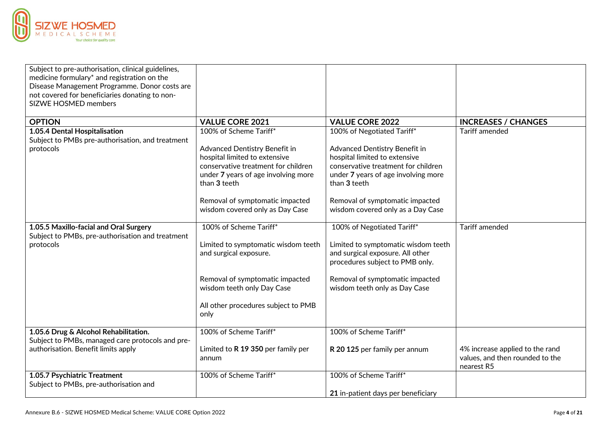

| Subject to pre-authorisation, clinical guidelines,<br>medicine formulary* and registration on the<br>Disease Management Programme. Donor costs are<br>not covered for beneficiaries donating to non-<br>SIZWE HOSMED members |                                                                                                                                                                                                                                                              |                                                                                                                                                                                                                                                                    |                                                                                  |
|------------------------------------------------------------------------------------------------------------------------------------------------------------------------------------------------------------------------------|--------------------------------------------------------------------------------------------------------------------------------------------------------------------------------------------------------------------------------------------------------------|--------------------------------------------------------------------------------------------------------------------------------------------------------------------------------------------------------------------------------------------------------------------|----------------------------------------------------------------------------------|
| <b>OPTION</b>                                                                                                                                                                                                                | <b>VALUE CORE 2021</b>                                                                                                                                                                                                                                       | <b>VALUE CORE 2022</b>                                                                                                                                                                                                                                             | <b>INCREASES / CHANGES</b>                                                       |
| 1.05.4 Dental Hospitalisation<br>Subject to PMBs pre-authorisation, and treatment<br>protocols                                                                                                                               | 100% of Scheme Tariff*<br>Advanced Dentistry Benefit in<br>hospital limited to extensive<br>conservative treatment for children<br>under 7 years of age involving more<br>than 3 teeth<br>Removal of symptomatic impacted<br>wisdom covered only as Day Case | 100% of Negotiated Tariff*<br>Advanced Dentistry Benefit in<br>hospital limited to extensive<br>conservative treatment for children<br>under 7 years of age involving more<br>than 3 teeth<br>Removal of symptomatic impacted<br>wisdom covered only as a Day Case | <b>Tariff amended</b>                                                            |
| 1.05.5 Maxillo-facial and Oral Surgery<br>Subject to PMBs, pre-authorisation and treatment<br>protocols                                                                                                                      | 100% of Scheme Tariff*<br>Limited to symptomatic wisdom teeth<br>and surgical exposure.<br>Removal of symptomatic impacted<br>wisdom teeth only Day Case<br>All other procedures subject to PMB<br>only                                                      | 100% of Negotiated Tariff*<br>Limited to symptomatic wisdom teeth<br>and surgical exposure. All other<br>procedures subject to PMB only.<br>Removal of symptomatic impacted<br>wisdom teeth only as Day Case                                                       | <b>Tariff amended</b>                                                            |
| 1.05.6 Drug & Alcohol Rehabilitation.<br>Subject to PMBs, managed care protocols and pre-<br>authorisation. Benefit limits apply                                                                                             | 100% of Scheme Tariff*<br>Limited to R 19 350 per family per<br>annum                                                                                                                                                                                        | 100% of Scheme Tariff*<br>R 20 125 per family per annum                                                                                                                                                                                                            | 4% increase applied to the rand<br>values, and then rounded to the<br>nearest R5 |
| 1.05.7 Psychiatric Treatment<br>Subject to PMBs, pre-authorisation and                                                                                                                                                       | 100% of Scheme Tariff*                                                                                                                                                                                                                                       | 100% of Scheme Tariff*<br>21 in-patient days per beneficiary                                                                                                                                                                                                       |                                                                                  |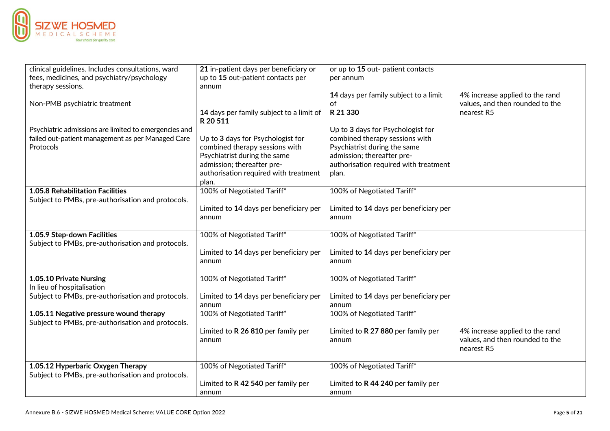

| clinical guidelines. Includes consultations, ward               | 21 in-patient days per beneficiary or                               | or up to 15 out- patient contacts              |                                 |
|-----------------------------------------------------------------|---------------------------------------------------------------------|------------------------------------------------|---------------------------------|
| fees, medicines, and psychiatry/psychology<br>therapy sessions. | up to 15 out-patient contacts per<br>annum                          | per annum                                      |                                 |
|                                                                 |                                                                     | 14 days per family subject to a limit          | 4% increase applied to the rand |
| Non-PMB psychiatric treatment                                   |                                                                     | of                                             | values, and then rounded to the |
|                                                                 | 14 days per family subject to a limit of                            | R 21 330                                       | nearest R5                      |
|                                                                 | R 20 511                                                            |                                                |                                 |
| Psychiatric admissions are limited to emergencies and           |                                                                     | Up to 3 days for Psychologist for              |                                 |
| failed out-patient management as per Managed Care               | Up to 3 days for Psychologist for                                   | combined therapy sessions with                 |                                 |
| Protocols                                                       | combined therapy sessions with                                      | Psychiatrist during the same                   |                                 |
|                                                                 | Psychiatrist during the same                                        | admission; thereafter pre-                     |                                 |
|                                                                 | admission; thereafter pre-<br>authorisation required with treatment | authorisation required with treatment<br>plan. |                                 |
|                                                                 | plan.                                                               |                                                |                                 |
| 1.05.8 Rehabilitation Facilities                                | 100% of Negotiated Tariff*                                          | 100% of Negotiated Tariff*                     |                                 |
| Subject to PMBs, pre-authorisation and protocols.               |                                                                     |                                                |                                 |
|                                                                 | Limited to 14 days per beneficiary per                              | Limited to 14 days per beneficiary per         |                                 |
|                                                                 | annum                                                               | annum                                          |                                 |
|                                                                 |                                                                     |                                                |                                 |
| 1.05.9 Step-down Facilities                                     | 100% of Negotiated Tariff*                                          | 100% of Negotiated Tariff*                     |                                 |
| Subject to PMBs, pre-authorisation and protocols.               |                                                                     |                                                |                                 |
|                                                                 | Limited to 14 days per beneficiary per                              | Limited to 14 days per beneficiary per         |                                 |
|                                                                 | annum                                                               | annum                                          |                                 |
| 1.05.10 Private Nursing                                         | 100% of Negotiated Tariff*                                          | 100% of Negotiated Tariff*                     |                                 |
| In lieu of hospitalisation                                      |                                                                     |                                                |                                 |
| Subject to PMBs, pre-authorisation and protocols.               | Limited to 14 days per beneficiary per                              | Limited to 14 days per beneficiary per         |                                 |
|                                                                 | annum                                                               | annum                                          |                                 |
| 1.05.11 Negative pressure wound therapy                         | 100% of Negotiated Tariff*                                          | 100% of Negotiated Tariff*                     |                                 |
| Subject to PMBs, pre-authorisation and protocols.               |                                                                     |                                                |                                 |
|                                                                 | Limited to R 26 810 per family per                                  | Limited to R 27 880 per family per             | 4% increase applied to the rand |
|                                                                 | annum                                                               | annum                                          | values, and then rounded to the |
|                                                                 |                                                                     |                                                | nearest R5                      |
| 1.05.12 Hyperbaric Oxygen Therapy                               | 100% of Negotiated Tariff*                                          | 100% of Negotiated Tariff*                     |                                 |
| Subject to PMBs, pre-authorisation and protocols.               |                                                                     |                                                |                                 |
|                                                                 | Limited to R 42 540 per family per                                  | Limited to R 44 240 per family per             |                                 |
|                                                                 | annum                                                               | annum                                          |                                 |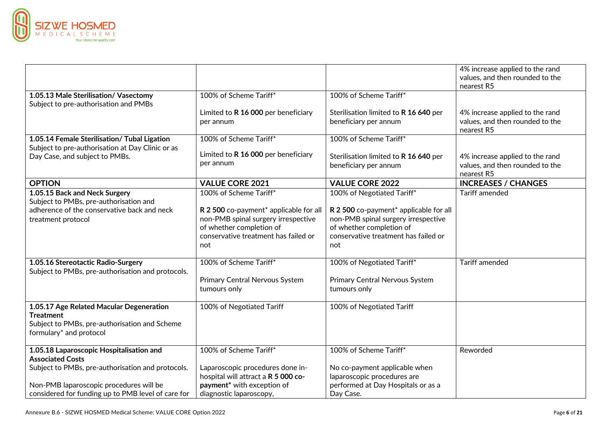

|                                                                                                                                              |                                                                                                                                                                                    |                                                                                                                                                                                        | 4% increase applied to the rand<br>values, and then rounded to the<br>nearest R5 |
|----------------------------------------------------------------------------------------------------------------------------------------------|------------------------------------------------------------------------------------------------------------------------------------------------------------------------------------|----------------------------------------------------------------------------------------------------------------------------------------------------------------------------------------|----------------------------------------------------------------------------------|
| 1.05.13 Male Sterilisation/ Vasectomy<br>Subject to pre-authorisation and PMBs                                                               | 100% of Scheme Tariff*                                                                                                                                                             | 100% of Scheme Tariff*                                                                                                                                                                 |                                                                                  |
|                                                                                                                                              | Limited to R 16 000 per beneficiary<br>per annum                                                                                                                                   | Sterilisation limited to R 16 640 per<br>beneficiary per annum                                                                                                                         | 4% increase applied to the rand<br>values, and then rounded to the<br>nearest R5 |
| 1.05.14 Female Sterilisation/ Tubal Ligation                                                                                                 | 100% of Scheme Tariff*                                                                                                                                                             | 100% of Scheme Tariff*                                                                                                                                                                 |                                                                                  |
| Subject to pre-authorisation at Day Clinic or as<br>Day Case, and subject to PMBs.                                                           | Limited to R 16 000 per beneficiary<br>per annum                                                                                                                                   | Sterilisation limited to R 16 640 per<br>beneficiary per annum                                                                                                                         | 4% increase applied to the rand<br>values, and then rounded to the<br>nearest R5 |
| <b>OPTION</b>                                                                                                                                | <b>VALUE CORE 2021</b>                                                                                                                                                             | <b>VALUE CORE 2022</b>                                                                                                                                                                 | <b>INCREASES / CHANGES</b>                                                       |
| 1.05.15 Back and Neck Surgery<br>Subject to PMBs, pre-authorisation and<br>adherence of the conservative back and neck<br>treatment protocol | 100% of Scheme Tariff*<br>R 2 500 co-payment* applicable for all<br>non-PMB spinal surgery irrespective<br>of whether completion of<br>conservative treatment has failed or<br>not | 100% of Negotiated Tariff*<br>R 2 500 co-payment* applicable for all<br>non-PMB spinal surgery irrespective<br>of whether completion of<br>conservative treatment has failed or<br>not | <b>Tariff amended</b>                                                            |
| 1.05.16 Stereotactic Radio-Surgery<br>Subject to PMBs, pre-authorisation and protocols.                                                      | 100% of Scheme Tariff*<br>Primary Central Nervous System<br>tumours only                                                                                                           | 100% of Negotiated Tariff*<br>Primary Central Nervous System<br>tumours only                                                                                                           | <b>Tariff amended</b>                                                            |
| 1.05.17 Age Related Macular Degeneration<br><b>Treatment</b><br>Subject to PMBs, pre-authorisation and Scheme<br>formulary* and protocol     | 100% of Negotiated Tariff                                                                                                                                                          | 100% of Negotiated Tariff                                                                                                                                                              |                                                                                  |
| 1.05.18 Laparoscopic Hospitalisation and<br><b>Associated Costs</b>                                                                          | 100% of Scheme Tariff*                                                                                                                                                             | 100% of Scheme Tariff*                                                                                                                                                                 | Reworded                                                                         |
| Subject to PMBs, pre-authorisation and protocols.                                                                                            | Laparoscopic procedures done in-<br>hospital will attract a R 5 000 co-                                                                                                            | No co-payment applicable when<br>laparoscopic procedures are                                                                                                                           |                                                                                  |
| Non-PMB laparoscopic procedures will be<br>considered for funding up to PMB level of care for                                                | payment <sup>*</sup> with exception of<br>diagnostic laparoscopy,                                                                                                                  | performed at Day Hospitals or as a<br>Day Case.                                                                                                                                        |                                                                                  |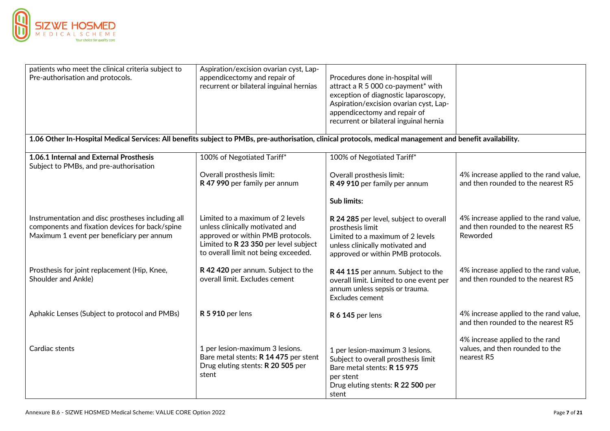

| patients who meet the clinical criteria subject to                                                                                                         | Aspiration/excision ovarian cyst, Lap-                                                                                                                                                    |                                                                                                                                                                        |                                                                                          |
|------------------------------------------------------------------------------------------------------------------------------------------------------------|-------------------------------------------------------------------------------------------------------------------------------------------------------------------------------------------|------------------------------------------------------------------------------------------------------------------------------------------------------------------------|------------------------------------------------------------------------------------------|
| Pre-authorisation and protocols.                                                                                                                           | appendicectomy and repair of                                                                                                                                                              | Procedures done in-hospital will                                                                                                                                       |                                                                                          |
|                                                                                                                                                            | recurrent or bilateral inguinal hernias                                                                                                                                                   | attract a R 5 000 co-payment* with                                                                                                                                     |                                                                                          |
|                                                                                                                                                            |                                                                                                                                                                                           | exception of diagnostic laparoscopy,                                                                                                                                   |                                                                                          |
|                                                                                                                                                            |                                                                                                                                                                                           | Aspiration/excision ovarian cyst, Lap-                                                                                                                                 |                                                                                          |
|                                                                                                                                                            |                                                                                                                                                                                           | appendicectomy and repair of                                                                                                                                           |                                                                                          |
|                                                                                                                                                            |                                                                                                                                                                                           | recurrent or bilateral inguinal hernia                                                                                                                                 |                                                                                          |
| 1.06 Other In-Hospital Medical Services: All benefits subject to PMBs, pre-authorisation, clinical protocols, medical management and benefit availability. |                                                                                                                                                                                           |                                                                                                                                                                        |                                                                                          |
| 1.06.1 Internal and External Prosthesis                                                                                                                    | 100% of Negotiated Tariff*                                                                                                                                                                | 100% of Negotiated Tariff*                                                                                                                                             |                                                                                          |
| Subject to PMBs, and pre-authorisation                                                                                                                     |                                                                                                                                                                                           |                                                                                                                                                                        |                                                                                          |
|                                                                                                                                                            | Overall prosthesis limit:                                                                                                                                                                 | Overall prosthesis limit:                                                                                                                                              | 4% increase applied to the rand value,                                                   |
|                                                                                                                                                            | R 47 990 per family per annum                                                                                                                                                             | R 49 910 per family per annum                                                                                                                                          | and then rounded to the nearest R5                                                       |
|                                                                                                                                                            |                                                                                                                                                                                           | <b>Sub limits:</b>                                                                                                                                                     |                                                                                          |
| Instrumentation and disc prostheses including all<br>components and fixation devices for back/spine<br>Maximum 1 event per beneficiary per annum           | Limited to a maximum of 2 levels<br>unless clinically motivated and<br>approved or within PMB protocols.<br>Limited to R 23 350 per level subject<br>to overall limit not being exceeded. | R 24 285 per level, subject to overall<br>prosthesis limit<br>Limited to a maximum of 2 levels<br>unless clinically motivated and<br>approved or within PMB protocols. | 4% increase applied to the rand value,<br>and then rounded to the nearest R5<br>Reworded |
| Prosthesis for joint replacement (Hip, Knee,<br>Shoulder and Ankle)                                                                                        | R 42 420 per annum. Subject to the<br>overall limit. Excludes cement                                                                                                                      | R 44 115 per annum. Subject to the<br>overall limit. Limited to one event per<br>annum unless sepsis or trauma.<br>Excludes cement                                     | 4% increase applied to the rand value,<br>and then rounded to the nearest R5             |
| Aphakic Lenses (Subject to protocol and PMBs)                                                                                                              | <b>R 5 910</b> per lens                                                                                                                                                                   | <b>R 6 145 per lens</b>                                                                                                                                                | 4% increase applied to the rand value,<br>and then rounded to the nearest R5             |
|                                                                                                                                                            |                                                                                                                                                                                           |                                                                                                                                                                        | 4% increase applied to the rand                                                          |
| Cardiac stents                                                                                                                                             | 1 per lesion-maximum 3 lesions.<br>Bare metal stents: R 14 475 per stent<br>Drug eluting stents: R 20 505 per<br>stent                                                                    | 1 per lesion-maximum 3 lesions.<br>Subject to overall prosthesis limit<br>Bare metal stents: R 15 975<br>per stent<br>Drug eluting stents: R 22 500 per                | values, and then rounded to the<br>nearest R5                                            |
|                                                                                                                                                            |                                                                                                                                                                                           | stent                                                                                                                                                                  |                                                                                          |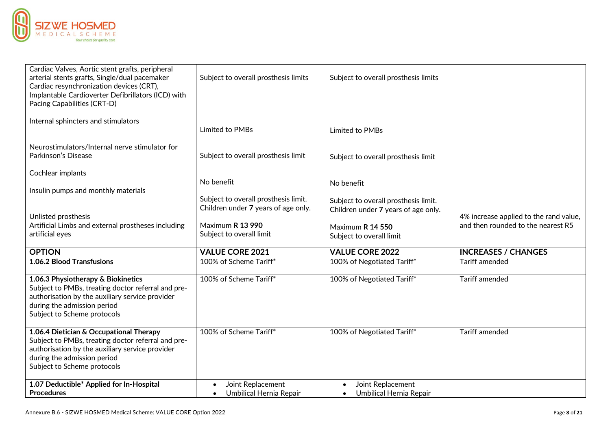

| Cardiac Valves, Aortic stent grafts, peripheral<br>arterial stents grafts, Single/dual pacemaker<br>Cardiac resynchronization devices (CRT),<br>Implantable Cardioverter Defibrillators (ICD) with<br>Pacing Capabilities (CRT-D) | Subject to overall prosthesis limits                                                            | Subject to overall prosthesis limits                                        |                                                                              |
|-----------------------------------------------------------------------------------------------------------------------------------------------------------------------------------------------------------------------------------|-------------------------------------------------------------------------------------------------|-----------------------------------------------------------------------------|------------------------------------------------------------------------------|
| Internal sphincters and stimulators                                                                                                                                                                                               | Limited to PMBs                                                                                 | Limited to PMBs                                                             |                                                                              |
| Neurostimulators/Internal nerve stimulator for<br>Parkinson's Disease                                                                                                                                                             | Subject to overall prosthesis limit                                                             | Subject to overall prosthesis limit                                         |                                                                              |
| Cochlear implants<br>Insulin pumps and monthly materials                                                                                                                                                                          | No benefit                                                                                      | No benefit                                                                  |                                                                              |
| Unlisted prosthesis                                                                                                                                                                                                               | Subject to overall prosthesis limit.<br>Children under 7 years of age only.<br>Maximum R 13 990 | Subject to overall prosthesis limit.<br>Children under 7 years of age only. | 4% increase applied to the rand value,<br>and then rounded to the nearest R5 |
| Artificial Limbs and external prostheses including<br>artificial eyes                                                                                                                                                             | Subject to overall limit                                                                        | Maximum R 14 550<br>Subject to overall limit                                |                                                                              |
| <b>OPTION</b>                                                                                                                                                                                                                     | <b>VALUE CORE 2021</b>                                                                          | <b>VALUE CORE 2022</b>                                                      | <b>INCREASES / CHANGES</b>                                                   |
| 1.06.2 Blood Transfusions                                                                                                                                                                                                         | 100% of Scheme Tariff*                                                                          | 100% of Negotiated Tariff*                                                  | <b>Tariff amended</b>                                                        |
| 1.06.3 Physiotherapy & Biokinetics<br>Subject to PMBs, treating doctor referral and pre-<br>authorisation by the auxiliary service provider<br>during the admission period<br>Subject to Scheme protocols                         | 100% of Scheme Tariff*                                                                          | 100% of Negotiated Tariff*                                                  | <b>Tariff amended</b>                                                        |
| 1.06.4 Dietician & Occupational Therapy<br>Subject to PMBs, treating doctor referral and pre-<br>authorisation by the auxiliary service provider<br>during the admission period<br>Subject to Scheme protocols                    | 100% of Scheme Tariff*                                                                          | 100% of Negotiated Tariff*                                                  | <b>Tariff amended</b>                                                        |
| 1.07 Deductible* Applied for In-Hospital<br><b>Procedures</b>                                                                                                                                                                     | Joint Replacement<br>$\bullet$<br>Umbilical Hernia Repair<br>$\bullet$                          | Joint Replacement<br>$\bullet$<br>Umbilical Hernia Repair                   |                                                                              |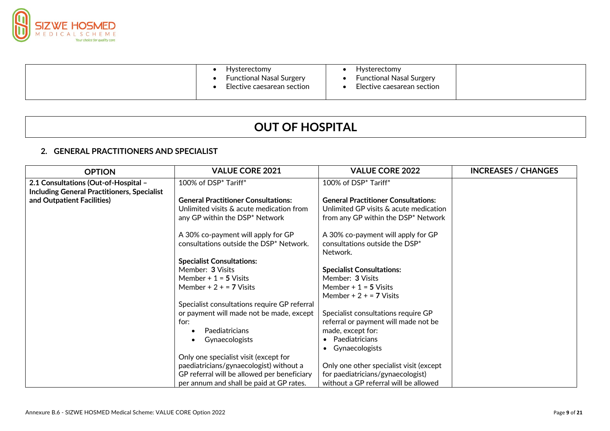

|  | Hysterectomy<br><b>Functional Nasal Surgery</b><br>Elective caesarean section | Hysterectomy<br><b>Functional Nasal Surgery</b><br>Elective caesarean section |  |
|--|-------------------------------------------------------------------------------|-------------------------------------------------------------------------------|--|
|--|-------------------------------------------------------------------------------|-------------------------------------------------------------------------------|--|

# **OUT OF HOSPITAL**

## **2. GENERAL PRACTITIONERS AND SPECIALIST**

| <b>OPTION</b>                                                                              | <b>VALUE CORE 2021</b>                                                                                                                                                      | <b>VALUE CORE 2022</b>                                                                                                      | <b>INCREASES / CHANGES</b> |
|--------------------------------------------------------------------------------------------|-----------------------------------------------------------------------------------------------------------------------------------------------------------------------------|-----------------------------------------------------------------------------------------------------------------------------|----------------------------|
| 2.1 Consultations (Out-of-Hospital -<br><b>Including General Practitioners, Specialist</b> | 100% of DSP <sup>*</sup> Tariff <sup>*</sup>                                                                                                                                | 100% of DSP* Tariff*                                                                                                        |                            |
| and Outpatient Facilities)                                                                 | <b>General Practitioner Consultations:</b><br>Unlimited visits & acute medication from<br>any GP within the DSP* Network                                                    | <b>General Practitioner Consultations:</b><br>Unlimited GP visits & acute medication<br>from any GP within the DSP* Network |                            |
|                                                                                            | A 30% co-payment will apply for GP<br>consultations outside the DSP* Network.                                                                                               | A 30% co-payment will apply for GP<br>consultations outside the DSP*<br>Network.                                            |                            |
|                                                                                            | <b>Specialist Consultations:</b><br>Member: 3 Visits<br>Member $+1 = 5$ Visits                                                                                              | <b>Specialist Consultations:</b><br>Member: 3 Visits                                                                        |                            |
|                                                                                            | Member + $2 + 7$ Visits                                                                                                                                                     | Member $+1 = 5$ Visits<br>Member + $2 + 7$ Visits                                                                           |                            |
|                                                                                            | Specialist consultations require GP referral<br>or payment will made not be made, except<br>for:<br>Paediatricians                                                          | Specialist consultations require GP<br>referral or payment will made not be<br>made, except for:                            |                            |
|                                                                                            | Gynaecologists                                                                                                                                                              | Paediatricians<br>Gynaecologists                                                                                            |                            |
|                                                                                            | Only one specialist visit (except for<br>paediatricians/gynaecologist) without a<br>GP referral will be allowed per beneficiary<br>per annum and shall be paid at GP rates. | Only one other specialist visit (except<br>for paediatricians/gynaecologist)<br>without a GP referral will be allowed       |                            |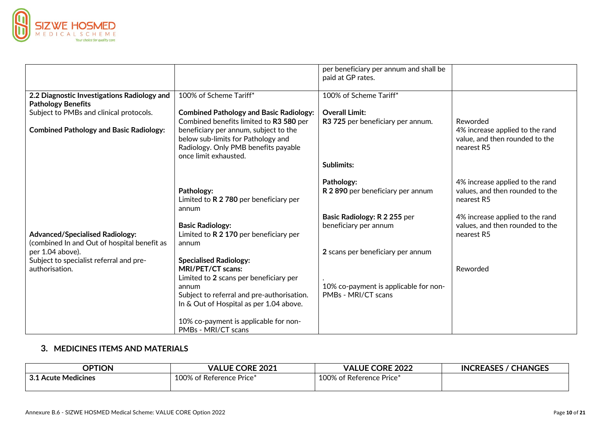

|                                                                                       |                                                                                                                                              | per beneficiary per annum and shall be<br>paid at GP rates.  |                                                                                  |
|---------------------------------------------------------------------------------------|----------------------------------------------------------------------------------------------------------------------------------------------|--------------------------------------------------------------|----------------------------------------------------------------------------------|
| 2.2 Diagnostic Investigations Radiology and<br><b>Pathology Benefits</b>              | 100% of Scheme Tariff*                                                                                                                       | 100% of Scheme Tariff*                                       |                                                                                  |
| Subject to PMBs and clinical protocols.                                               | <b>Combined Pathology and Basic Radiology:</b><br>Combined benefits limited to R3 580 per                                                    | <b>Overall Limit:</b><br>R3 725 per beneficiary per annum.   | Reworded                                                                         |
| <b>Combined Pathology and Basic Radiology:</b>                                        | beneficiary per annum, subject to the<br>below sub-limits for Pathology and<br>Radiology. Only PMB benefits payable<br>once limit exhausted. |                                                              | 4% increase applied to the rand<br>value, and then rounded to the<br>nearest R5  |
|                                                                                       |                                                                                                                                              | <b>Sublimits:</b>                                            |                                                                                  |
|                                                                                       | Pathology:<br>Limited to R 2 780 per beneficiary per                                                                                         | Pathology:<br>R 2 890 per beneficiary per annum              | 4% increase applied to the rand<br>values, and then rounded to the<br>nearest R5 |
|                                                                                       | annum                                                                                                                                        | Basic Radiology: R 2 255 per                                 | 4% increase applied to the rand                                                  |
| <b>Advanced/Specialised Radiology:</b><br>(combined In and Out of hospital benefit as | <b>Basic Radiology:</b><br>Limited to $R$ 2 170 per beneficiary per<br>annum                                                                 | beneficiary per annum                                        | values, and then rounded to the<br>nearest R5                                    |
| per 1.04 above).                                                                      |                                                                                                                                              | 2 scans per beneficiary per annum                            |                                                                                  |
| Subject to specialist referral and pre-<br>authorisation.                             | <b>Specialised Radiology:</b><br>MRI/PET/CT scans:<br>Limited to 2 scans per beneficiary per                                                 |                                                              | Reworded                                                                         |
|                                                                                       | annum<br>Subject to referral and pre-authorisation.<br>In & Out of Hospital as per 1.04 above.                                               | 10% co-payment is applicable for non-<br>PMBs - MRI/CT scans |                                                                                  |
|                                                                                       | 10% co-payment is applicable for non-<br>PMBs - MRI/CT scans                                                                                 |                                                              |                                                                                  |

## **3. MEDICINES ITEMS AND MATERIALS**

| <b>OPTION</b>             | <b>VALUE CORE 2021</b>   | <b>CORE 2022</b><br><b>VALUE</b> | <b>INCREASES / 0</b><br>/ CHANGES |
|---------------------------|--------------------------|----------------------------------|-----------------------------------|
| 24<br>3.1 Acute Medicines | 100% of Reference Price* | 100% of Reference Price*         |                                   |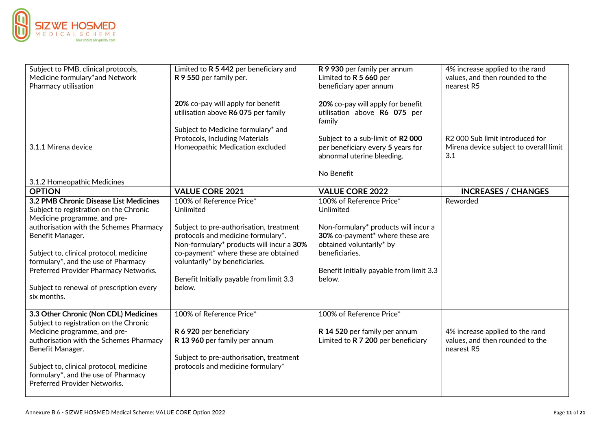

| Subject to PMB, clinical protocols,<br>Medicine formulary*and Network<br>Pharmacy utilisation                                                                                                                                                                                                                                                                         | Limited to R 5 442 per beneficiary and<br>R 9 550 per family per.                                                                                                                                                                                                                                  | R 9 930 per family per annum<br>Limited to R 5 660 per<br>beneficiary aper annum                                                                                                                                     | 4% increase applied to the rand<br>values, and then rounded to the<br>nearest R5             |
|-----------------------------------------------------------------------------------------------------------------------------------------------------------------------------------------------------------------------------------------------------------------------------------------------------------------------------------------------------------------------|----------------------------------------------------------------------------------------------------------------------------------------------------------------------------------------------------------------------------------------------------------------------------------------------------|----------------------------------------------------------------------------------------------------------------------------------------------------------------------------------------------------------------------|----------------------------------------------------------------------------------------------|
|                                                                                                                                                                                                                                                                                                                                                                       | 20% co-pay will apply for benefit<br>utilisation above R6 075 per family                                                                                                                                                                                                                           | 20% co-pay will apply for benefit<br>utilisation above R6 075 per<br>family                                                                                                                                          |                                                                                              |
| 3.1.1 Mirena device                                                                                                                                                                                                                                                                                                                                                   | Subject to Medicine formulary* and<br>Protocols, Including Materials<br>Homeopathic Medication excluded                                                                                                                                                                                            | Subject to a sub-limit of R2 000<br>per beneficiary every 5 years for<br>abnormal uterine bleeding.                                                                                                                  | R <sub>2</sub> 000 Sub limit introduced for<br>Mirena device subject to overall limit<br>3.1 |
| 3.1.2 Homeopathic Medicines                                                                                                                                                                                                                                                                                                                                           |                                                                                                                                                                                                                                                                                                    | No Benefit                                                                                                                                                                                                           |                                                                                              |
| <b>OPTION</b>                                                                                                                                                                                                                                                                                                                                                         | <b>VALUE CORE 2021</b>                                                                                                                                                                                                                                                                             | <b>VALUE CORE 2022</b>                                                                                                                                                                                               | <b>INCREASES / CHANGES</b>                                                                   |
| 3.2 PMB Chronic Disease List Medicines<br>Subject to registration on the Chronic<br>Medicine programme, and pre-<br>authorisation with the Schemes Pharmacy<br>Benefit Manager.<br>Subject to, clinical protocol, medicine<br>formulary*, and the use of Pharmacy<br>Preferred Provider Pharmacy Networks.<br>Subject to renewal of prescription every<br>six months. | 100% of Reference Price*<br>Unlimited<br>Subject to pre-authorisation, treatment<br>protocols and medicine formulary*.<br>Non-formulary* products will incur a 30%<br>co-payment* where these are obtained<br>voluntarily* by beneficiaries.<br>Benefit Initially payable from limit 3.3<br>below. | 100% of Reference Price*<br>Unlimited<br>Non-formulary* products will incur a<br>30% co-payment* where these are<br>obtained voluntarily* by<br>beneficiaries.<br>Benefit Initially payable from limit 3.3<br>below. | Reworded                                                                                     |
| 3.3 Other Chronic (Non CDL) Medicines<br>Subject to registration on the Chronic<br>Medicine programme, and pre-<br>authorisation with the Schemes Pharmacy<br>Benefit Manager.<br>Subject to, clinical protocol, medicine<br>formulary*, and the use of Pharmacy<br><b>Preferred Provider Networks.</b>                                                               | 100% of Reference Price*<br>R 6 920 per beneficiary<br>R 13 960 per family per annum<br>Subject to pre-authorisation, treatment<br>protocols and medicine formulary*                                                                                                                               | 100% of Reference Price*<br>R 14 520 per family per annum<br>Limited to R 7 200 per beneficiary                                                                                                                      | 4% increase applied to the rand<br>values, and then rounded to the<br>nearest R5             |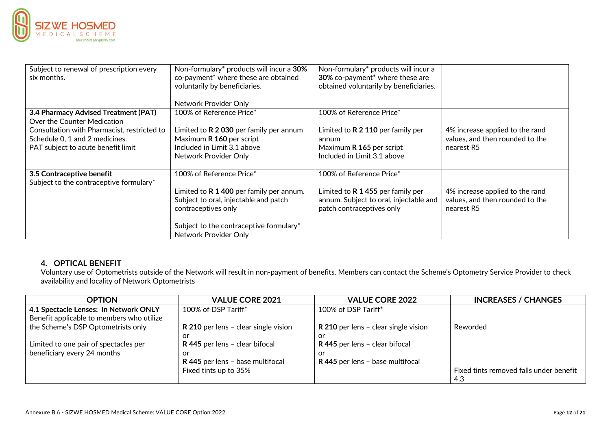

| Subject to renewal of prescription every<br>six months. | Non-formulary* products will incur a 30%<br>co-payment* where these are obtained | Non-formulary* products will incur a<br>30% co-payment* where these are |                                 |
|---------------------------------------------------------|----------------------------------------------------------------------------------|-------------------------------------------------------------------------|---------------------------------|
|                                                         | voluntarily by beneficiaries.                                                    | obtained voluntarily by beneficiaries.                                  |                                 |
|                                                         |                                                                                  |                                                                         |                                 |
|                                                         | Network Provider Only                                                            |                                                                         |                                 |
| 3.4 Pharmacy Advised Treatment (PAT)                    | 100% of Reference Price*                                                         | 100% of Reference Price*                                                |                                 |
| Over the Counter Medication                             |                                                                                  |                                                                         |                                 |
| Consultation with Pharmacist, restricted to             | Limited to $R$ 2 030 per family per annum                                        | Limited to R 2 110 per family per                                       | 4% increase applied to the rand |
| Schedule 0, 1 and 2 medicines.                          | Maximum R 160 per script                                                         | annum                                                                   | values, and then rounded to the |
| PAT subject to acute benefit limit                      | Included in Limit 3.1 above                                                      | Maximum R 165 per script                                                | nearest R5                      |
|                                                         | Network Provider Only                                                            | Included in Limit 3.1 above                                             |                                 |
|                                                         |                                                                                  |                                                                         |                                 |
| 3.5 Contraceptive benefit                               | 100% of Reference Price*                                                         | 100% of Reference Price*                                                |                                 |
| Subject to the contraceptive formulary*                 |                                                                                  |                                                                         |                                 |
|                                                         | Limited to $R$ 1 400 per family per annum.                                       | Limited to R 1 455 per family per                                       | 4% increase applied to the rand |
|                                                         | Subject to oral, injectable and patch                                            | annum. Subject to oral, injectable and                                  | values, and then rounded to the |
|                                                         | contraceptives only                                                              | patch contraceptives only                                               | nearest R5                      |
|                                                         |                                                                                  |                                                                         |                                 |
|                                                         | Subject to the contraceptive formulary*                                          |                                                                         |                                 |
|                                                         | Network Provider Only                                                            |                                                                         |                                 |

### **4. OPTICAL BENEFIT**

Voluntary use of Optometrists outside of the Network will result in non-payment of benefits. Members can contact the Scheme's Optometry Service Provider to check availability and locality of Network Optometrists

| <b>OPTION</b>                             | <b>VALUE CORE 2021</b>               | <b>VALUE CORE 2022</b>               | <b>INCREASES / CHANGES</b>              |
|-------------------------------------------|--------------------------------------|--------------------------------------|-----------------------------------------|
| 4.1 Spectacle Lenses: In Network ONLY     | 100% of DSP Tariff*                  | 100% of DSP Tariff*                  |                                         |
| Benefit applicable to members who utilize |                                      |                                      |                                         |
| the Scheme's DSP Optometrists only        | R 210 per lens - clear single vision | R 210 per lens - clear single vision | Reworded                                |
|                                           | or                                   | or                                   |                                         |
| Limited to one pair of spectacles per     | R 445 per lens - clear bifocal       | R 445 per lens - clear bifocal       |                                         |
| beneficiary every 24 months               | or                                   | or                                   |                                         |
|                                           | R 445 per lens - base multifocal     | R 445 per lens - base multifocal     |                                         |
|                                           | Fixed tints up to 35%                |                                      | Fixed tints removed falls under benefit |
|                                           |                                      |                                      | 4.3                                     |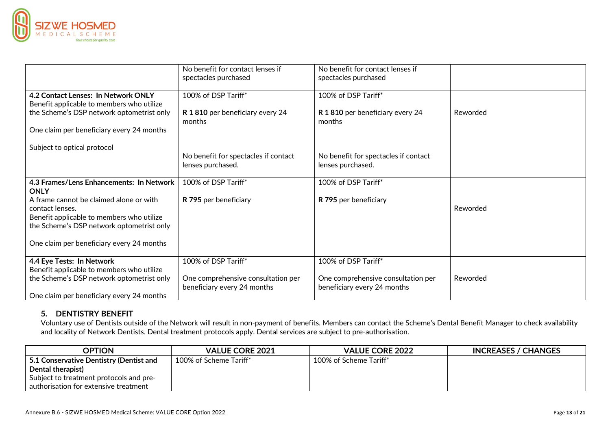

|                                                         | No benefit for contact lenses if<br>spectacles purchased          | No benefit for contact lenses if<br>spectacles purchased          |          |
|---------------------------------------------------------|-------------------------------------------------------------------|-------------------------------------------------------------------|----------|
| 4.2 Contact Lenses: In Network ONLY                     | 100% of DSP Tariff*                                               | 100% of DSP Tariff*                                               |          |
| Benefit applicable to members who utilize               |                                                                   |                                                                   |          |
| the Scheme's DSP network optometrist only               | R 1810 per beneficiary every 24<br>months                         | R 1810 per beneficiary every 24<br>months                         | Reworded |
| One claim per beneficiary every 24 months               |                                                                   |                                                                   |          |
| Subject to optical protocol                             |                                                                   |                                                                   |          |
|                                                         | No benefit for spectacles if contact                              | No benefit for spectacles if contact                              |          |
|                                                         | lenses purchased.                                                 | lenses purchased.                                                 |          |
| 4.3 Frames/Lens Enhancements: In Network<br><b>ONLY</b> | 100% of DSP Tariff*                                               | 100% of DSP Tariff*                                               |          |
| A frame cannot be claimed alone or with                 | R 795 per beneficiary                                             | R 795 per beneficiary                                             |          |
| contact lenses.                                         |                                                                   |                                                                   | Reworded |
| Benefit applicable to members who utilize               |                                                                   |                                                                   |          |
| the Scheme's DSP network optometrist only               |                                                                   |                                                                   |          |
| One claim per beneficiary every 24 months               |                                                                   |                                                                   |          |
| 4.4 Eye Tests: In Network                               | 100% of DSP Tariff*                                               | 100% of DSP Tariff*                                               |          |
| Benefit applicable to members who utilize               |                                                                   |                                                                   |          |
| the Scheme's DSP network optometrist only               | One comprehensive consultation per<br>beneficiary every 24 months | One comprehensive consultation per<br>beneficiary every 24 months | Reworded |
| One claim per beneficiary every 24 months               |                                                                   |                                                                   |          |

#### **5. DENTISTRY BENEFIT**

Voluntary use of Dentists outside of the Network will result in non-payment of benefits. Members can contact the Scheme's Dental Benefit Manager to check availability and locality of Network Dentists. Dental treatment protocols apply. Dental services are subject to pre-authorisation.

| <b>OPTION</b>                                  | <b>VALUE CORE 2021</b> | <b>VALUE CORE 2022</b> | <b>INCREASES / CHANGES</b> |
|------------------------------------------------|------------------------|------------------------|----------------------------|
| $\mid$ 5.1 Conservative Dentistry (Dentist and | 100% of Scheme Tariff* | 100% of Scheme Tariff* |                            |
| Dental therapist)                              |                        |                        |                            |
| Subject to treatment protocols and pre-        |                        |                        |                            |
| Lauthorisation for extensive treatment         |                        |                        |                            |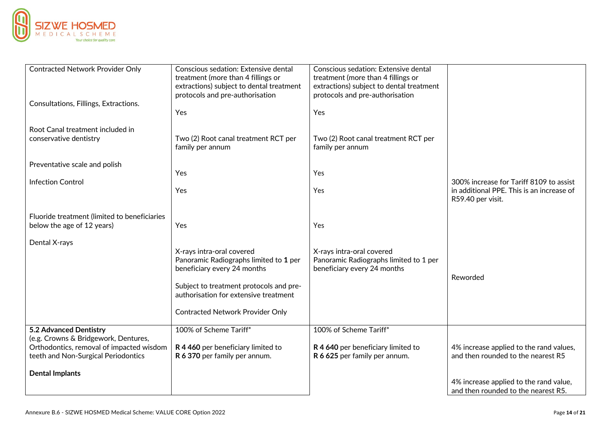

| <b>Contracted Network Provider Only</b>                                    | Conscious sedation: Extensive dental<br>treatment (more than 4 fillings or<br>extractions) subject to dental treatment<br>protocols and pre-authorisation | Conscious sedation: Extensive dental<br>treatment (more than 4 fillings or<br>extractions) subject to dental treatment<br>protocols and pre-authorisation |                                           |
|----------------------------------------------------------------------------|-----------------------------------------------------------------------------------------------------------------------------------------------------------|-----------------------------------------------------------------------------------------------------------------------------------------------------------|-------------------------------------------|
| Consultations, Fillings, Extractions.                                      | Yes                                                                                                                                                       | Yes                                                                                                                                                       |                                           |
| Root Canal treatment included in                                           |                                                                                                                                                           |                                                                                                                                                           |                                           |
| conservative dentistry                                                     | Two (2) Root canal treatment RCT per<br>family per annum                                                                                                  | Two (2) Root canal treatment RCT per<br>family per annum                                                                                                  |                                           |
| Preventative scale and polish                                              |                                                                                                                                                           |                                                                                                                                                           |                                           |
|                                                                            | Yes                                                                                                                                                       | Yes                                                                                                                                                       |                                           |
| <b>Infection Control</b>                                                   |                                                                                                                                                           |                                                                                                                                                           | 300% increase for Tariff 8109 to assist   |
|                                                                            | Yes                                                                                                                                                       | Yes                                                                                                                                                       | in additional PPE. This is an increase of |
|                                                                            |                                                                                                                                                           |                                                                                                                                                           | R59.40 per visit.                         |
|                                                                            |                                                                                                                                                           |                                                                                                                                                           |                                           |
| Fluoride treatment (limited to beneficiaries<br>below the age of 12 years) | Yes                                                                                                                                                       | Yes                                                                                                                                                       |                                           |
|                                                                            |                                                                                                                                                           |                                                                                                                                                           |                                           |
| Dental X-rays                                                              |                                                                                                                                                           |                                                                                                                                                           |                                           |
|                                                                            | X-rays intra-oral covered                                                                                                                                 | X-rays intra-oral covered                                                                                                                                 |                                           |
|                                                                            | Panoramic Radiographs limited to 1 per                                                                                                                    | Panoramic Radiographs limited to 1 per                                                                                                                    |                                           |
|                                                                            | beneficiary every 24 months                                                                                                                               | beneficiary every 24 months                                                                                                                               |                                           |
|                                                                            |                                                                                                                                                           |                                                                                                                                                           | Reworded                                  |
|                                                                            | Subject to treatment protocols and pre-                                                                                                                   |                                                                                                                                                           |                                           |
|                                                                            | authorisation for extensive treatment                                                                                                                     |                                                                                                                                                           |                                           |
|                                                                            | <b>Contracted Network Provider Only</b>                                                                                                                   |                                                                                                                                                           |                                           |
|                                                                            |                                                                                                                                                           |                                                                                                                                                           |                                           |
| 5.2 Advanced Dentistry                                                     | 100% of Scheme Tariff*                                                                                                                                    | 100% of Scheme Tariff*                                                                                                                                    |                                           |
| (e.g. Crowns & Bridgework, Dentures,                                       |                                                                                                                                                           |                                                                                                                                                           |                                           |
| Orthodontics, removal of impacted wisdom                                   | R 4 460 per beneficiary limited to                                                                                                                        | R 4 640 per beneficiary limited to                                                                                                                        | 4% increase applied to the rand values,   |
| teeth and Non-Surgical Periodontics                                        | R 6 370 per family per annum.                                                                                                                             | R 6 625 per family per annum.                                                                                                                             | and then rounded to the nearest R5        |
|                                                                            |                                                                                                                                                           |                                                                                                                                                           |                                           |
| <b>Dental Implants</b>                                                     |                                                                                                                                                           |                                                                                                                                                           | 4% increase applied to the rand value,    |
|                                                                            |                                                                                                                                                           |                                                                                                                                                           | and then rounded to the nearest R5.       |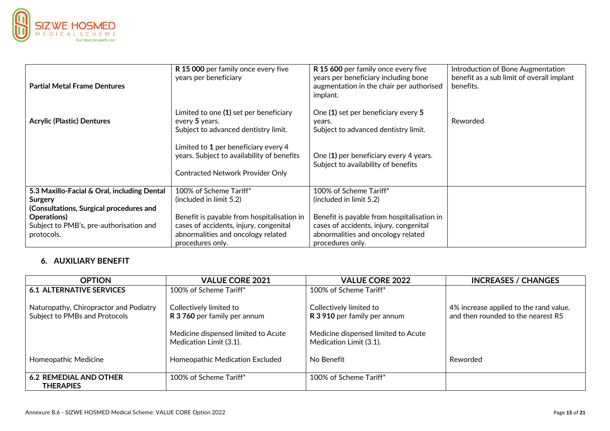

| <b>Partial Metal Frame Dentures</b>                | R 15 000 per family once every five<br>years per beneficiary                                                                  | R 15 600 per family once every five<br>years per beneficiary including bone<br>augmentation in the chair per authorised<br>implant. | Introduction of Bone Augmentation<br>benefit as a sub limit of overall implant<br>benefits. |
|----------------------------------------------------|-------------------------------------------------------------------------------------------------------------------------------|-------------------------------------------------------------------------------------------------------------------------------------|---------------------------------------------------------------------------------------------|
| <b>Acrylic (Plastic) Dentures</b>                  | Limited to one (1) set per beneficiary<br>every 5 years.<br>Subject to advanced dentistry limit.                              | One (1) set per beneficiary every 5<br>years.<br>Subject to advanced dentistry limit.                                               | Reworded                                                                                    |
|                                                    | Limited to 1 per beneficiary every 4<br>years. Subject to availability of benefits<br><b>Contracted Network Provider Only</b> | One (1) per beneficiary every 4 years.<br>Subject to availability of benefits                                                       |                                                                                             |
| 5.3 Maxillo-Facial & Oral, including Dental        | 100% of Scheme Tariff*                                                                                                        | 100% of Scheme Tariff*                                                                                                              |                                                                                             |
| Surgery<br>(Consultations, Surgical procedures and | (included in limit 5.2)                                                                                                       | (included in limit 5.2)                                                                                                             |                                                                                             |
| Operations)                                        | Benefit is payable from hospitalisation in                                                                                    | Benefit is payable from hospitalisation in                                                                                          |                                                                                             |
| Subject to PMB's, pre-authorisation and            | cases of accidents, injury, congenital                                                                                        | cases of accidents, injury, congenital                                                                                              |                                                                                             |
| protocols.                                         | abnormalities and oncology related<br>procedures only.                                                                        | abnormalities and oncology related<br>procedures only.                                                                              |                                                                                             |

## **6. AUXILIARY BENEFIT**

| <b>OPTION</b>                                                           | <b>VALUE CORE 2021</b>                                         | <b>VALUE CORE 2022</b>                                         | <b>INCREASES / CHANGES</b>                                                   |
|-------------------------------------------------------------------------|----------------------------------------------------------------|----------------------------------------------------------------|------------------------------------------------------------------------------|
| 6.1 ALTERNATIVE SERVICES                                                | 100% of Scheme Tariff*                                         | 100% of Scheme Tariff*                                         |                                                                              |
| Naturopathy, Chiropractor and Podiatry<br>Subject to PMBs and Protocols | Collectively limited to<br>R 3 760 per family per annum        | Collectively limited to<br>R 3 910 per family per annum        | 4% increase applied to the rand value,<br>and then rounded to the nearest R5 |
|                                                                         | Medicine dispensed limited to Acute<br>Medication Limit (3.1). | Medicine dispensed limited to Acute<br>Medication Limit (3.1). |                                                                              |
| Homeopathic Medicine                                                    | Homeopathic Medication Excluded                                | No Benefit                                                     | Reworded                                                                     |
| <b>6.2 REMEDIAL AND OTHER</b><br><b>THERAPIES</b>                       | 100% of Scheme Tariff*                                         | 100% of Scheme Tariff*                                         |                                                                              |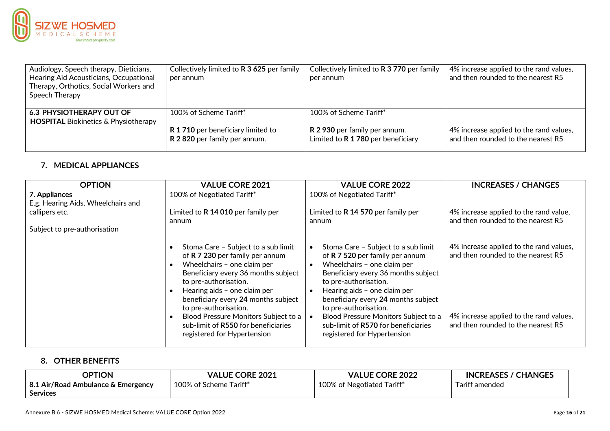

| Audiology, Speech therapy, Dieticians,<br>Hearing Aid Acousticians, Occupational<br>Therapy, Orthotics, Social Workers and<br>Speech Therapy | Collectively limited to R 3 625 per family<br>per annum                                     | Collectively limited to R 3 770 per family<br>per annum                                       | 4% increase applied to the rand values,<br>and then rounded to the nearest R5 |
|----------------------------------------------------------------------------------------------------------------------------------------------|---------------------------------------------------------------------------------------------|-----------------------------------------------------------------------------------------------|-------------------------------------------------------------------------------|
| <b>6.3 PHYSIOTHERAPY OUT OF</b><br><b>HOSPITAL Biokinetics &amp; Physiotherapy</b>                                                           | 100% of Scheme Tariff*<br>R 1710 per beneficiary limited to<br>R 2820 per family per annum. | 100% of Scheme Tariff*<br>R 2 930 per family per annum.<br>Limited to R 1 780 per beneficiary | 4% increase applied to the rand values,<br>and then rounded to the nearest R5 |

## **7. MEDICAL APPLIANCES**

| <b>OPTION</b>                                                                                         | <b>VALUE CORE 2021</b>                                                                                                                                                                                                                                                                                                                                                              | <b>VALUE CORE 2022</b>                                                                                                                                                                                                                                                                                                                                                                           | <b>INCREASES / CHANGES</b>                                                                                                                                     |
|-------------------------------------------------------------------------------------------------------|-------------------------------------------------------------------------------------------------------------------------------------------------------------------------------------------------------------------------------------------------------------------------------------------------------------------------------------------------------------------------------------|--------------------------------------------------------------------------------------------------------------------------------------------------------------------------------------------------------------------------------------------------------------------------------------------------------------------------------------------------------------------------------------------------|----------------------------------------------------------------------------------------------------------------------------------------------------------------|
| 7. Appliances<br>E.g. Hearing Aids, Wheelchairs and<br>callipers etc.<br>Subject to pre-authorisation | 100% of Negotiated Tariff*<br>Limited to R 14 010 per family per<br>annum                                                                                                                                                                                                                                                                                                           | 100% of Negotiated Tariff*<br>Limited to R 14 570 per family per<br>annum                                                                                                                                                                                                                                                                                                                        | 4% increase applied to the rand value,<br>and then rounded to the nearest R5                                                                                   |
|                                                                                                       | Stoma Care - Subject to a sub limit<br>of R 7 230 per family per annum<br>Wheelchairs - one claim per<br>Beneficiary every 36 months subject<br>to pre-authorisation.<br>Hearing aids - one claim per<br>beneficiary every 24 months subject<br>to pre-authorisation.<br>Blood Pressure Monitors Subject to a<br>sub-limit of R550 for beneficiaries<br>registered for Hypertension | Stoma Care - Subject to a sub limit<br>of R 7 520 per family per annum<br>Wheelchairs - one claim per<br>$\bullet$<br>Beneficiary every 36 months subject<br>to pre-authorisation.<br>Hearing aids - one claim per<br>beneficiary every 24 months subject<br>to pre-authorisation.<br>Blood Pressure Monitors Subject to a<br>sub-limit of R570 for beneficiaries<br>registered for Hypertension | 4% increase applied to the rand values,<br>and then rounded to the nearest R5<br>4% increase applied to the rand values,<br>and then rounded to the nearest R5 |

## **8. OTHER BENEFITS**

| <b>OPTION</b>                      | <b>VALUE CORE 2021</b> | <b>VALUE CORE 2022</b>     | <b>INCREASES / CHANGES</b> |
|------------------------------------|------------------------|----------------------------|----------------------------|
| 8.1 Air/Road Ambulance & Emergency | 100% of Scheme Tariff* | 100% of Negotiated Tariff* | Tariff amended             |
| <b>Services</b>                    |                        |                            |                            |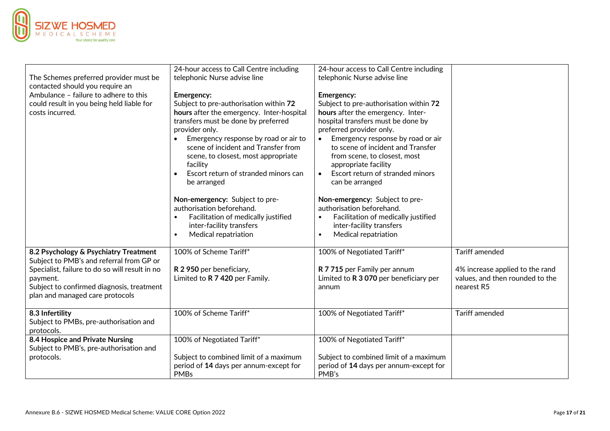

|                                                                                   | 24-hour access to Call Centre including           | 24-hour access to Call Centre including          |                                 |
|-----------------------------------------------------------------------------------|---------------------------------------------------|--------------------------------------------------|---------------------------------|
| The Schemes preferred provider must be                                            | telephonic Nurse advise line                      | telephonic Nurse advise line                     |                                 |
| contacted should you require an                                                   |                                                   |                                                  |                                 |
| Ambulance - failure to adhere to this                                             | <b>Emergency:</b>                                 | Emergency:                                       |                                 |
| could result in you being held liable for                                         | Subject to pre-authorisation within 72            | Subject to pre-authorisation within 72           |                                 |
| costs incurred.                                                                   | hours after the emergency. Inter-hospital         | hours after the emergency. Inter-                |                                 |
|                                                                                   | transfers must be done by preferred               | hospital transfers must be done by               |                                 |
|                                                                                   | provider only.                                    | preferred provider only.                         |                                 |
|                                                                                   | Emergency response by road or air to              | Emergency response by road or air<br>$\bullet$   |                                 |
|                                                                                   | scene of incident and Transfer from               | to scene of incident and Transfer                |                                 |
|                                                                                   | scene, to closest, most appropriate               | from scene, to closest, most                     |                                 |
|                                                                                   | facility                                          | appropriate facility                             |                                 |
|                                                                                   | Escort return of stranded minors can<br>$\bullet$ | Escort return of stranded minors<br>$\bullet$    |                                 |
|                                                                                   | be arranged                                       | can be arranged                                  |                                 |
|                                                                                   | Non-emergency: Subject to pre-                    | Non-emergency: Subject to pre-                   |                                 |
|                                                                                   | authorisation beforehand.                         | authorisation beforehand.                        |                                 |
|                                                                                   | Facilitation of medically justified               | Facilitation of medically justified<br>$\bullet$ |                                 |
|                                                                                   | inter-facility transfers                          | inter-facility transfers                         |                                 |
|                                                                                   | Medical repatriation<br>$\bullet$                 | Medical repatriation<br>$\bullet$                |                                 |
|                                                                                   |                                                   |                                                  |                                 |
| 8.2 Psychology & Psychiatry Treatment<br>Subject to PMB's and referral from GP or | 100% of Scheme Tariff*                            | 100% of Negotiated Tariff*                       | <b>Tariff amended</b>           |
| Specialist, failure to do so will result in no                                    | R 2 950 per beneficiary,                          | R 7 715 per Family per annum                     | 4% increase applied to the rand |
| payment.                                                                          | Limited to R 7 420 per Family.                    | Limited to R 3 070 per beneficiary per           | values, and then rounded to the |
| Subject to confirmed diagnosis, treatment                                         |                                                   | annum                                            | nearest R5                      |
| plan and managed care protocols                                                   |                                                   |                                                  |                                 |
|                                                                                   |                                                   |                                                  |                                 |
| 8.3 Infertility                                                                   | 100% of Scheme Tariff*                            | 100% of Negotiated Tariff*                       | <b>Tariff amended</b>           |
| Subject to PMBs, pre-authorisation and                                            |                                                   |                                                  |                                 |
| protocols.                                                                        |                                                   |                                                  |                                 |
| 8.4 Hospice and Private Nursing                                                   | 100% of Negotiated Tariff*                        | 100% of Negotiated Tariff*                       |                                 |
| Subject to PMB's, pre-authorisation and                                           |                                                   |                                                  |                                 |
| protocols.                                                                        | Subject to combined limit of a maximum            | Subject to combined limit of a maximum           |                                 |
|                                                                                   | period of 14 days per annum-except for            | period of 14 days per annum-except for           |                                 |
|                                                                                   | <b>PMBs</b>                                       | PMB's                                            |                                 |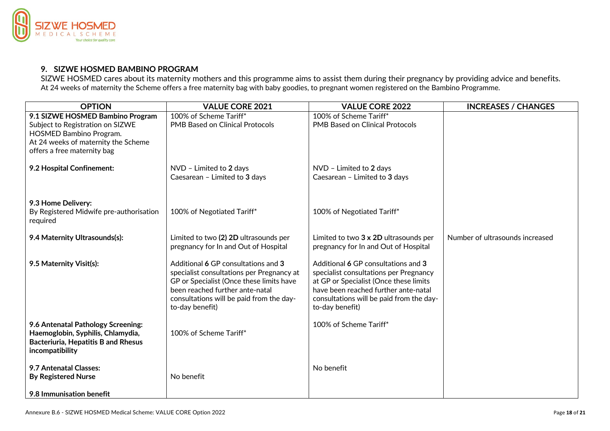

### **9. SIZWE HOSMED BAMBINO PROGRAM**

SIZWE HOSMED cares about its maternity mothers and this programme aims to assist them during their pregnancy by providing advice and benefits. At 24 weeks of maternity the Scheme offers a free maternity bag with baby goodies, to pregnant women registered on the Bambino Programme.

| <b>OPTION</b>                                                                                                                                                         | <b>VALUE CORE 2021</b>                                                                                                                                                                                                         | <b>VALUE CORE 2022</b>                                                                                                                                                                                                         | <b>INCREASES / CHANGES</b>      |
|-----------------------------------------------------------------------------------------------------------------------------------------------------------------------|--------------------------------------------------------------------------------------------------------------------------------------------------------------------------------------------------------------------------------|--------------------------------------------------------------------------------------------------------------------------------------------------------------------------------------------------------------------------------|---------------------------------|
| 9.1 SIZWE HOSMED Bambino Program<br>Subject to Registration on SIZWE<br>HOSMED Bambino Program.<br>At 24 weeks of maternity the Scheme<br>offers a free maternity bag | 100% of Scheme Tariff*<br><b>PMB Based on Clinical Protocols</b>                                                                                                                                                               | 100% of Scheme Tariff*<br><b>PMB Based on Clinical Protocols</b>                                                                                                                                                               |                                 |
| 9.2 Hospital Confinement:                                                                                                                                             | NVD - Limited to 2 days<br>Caesarean - Limited to 3 days                                                                                                                                                                       | NVD - Limited to 2 days<br>Caesarean - Limited to 3 days                                                                                                                                                                       |                                 |
| 9.3 Home Delivery:<br>By Registered Midwife pre-authorisation<br>required                                                                                             | 100% of Negotiated Tariff*                                                                                                                                                                                                     | 100% of Negotiated Tariff*                                                                                                                                                                                                     |                                 |
| 9.4 Maternity Ultrasounds(s):                                                                                                                                         | Limited to two (2) 2D ultrasounds per<br>pregnancy for In and Out of Hospital                                                                                                                                                  | Limited to two 3 x 2D ultrasounds per<br>pregnancy for In and Out of Hospital                                                                                                                                                  | Number of ultrasounds increased |
| 9.5 Maternity Visit(s):                                                                                                                                               | Additional 6 GP consultations and 3<br>specialist consultations per Pregnancy at<br>GP or Specialist (Once these limits have<br>been reached further ante-natal<br>consultations will be paid from the day-<br>to-day benefit) | Additional 6 GP consultations and 3<br>specialist consultations per Pregnancy<br>at GP or Specialist (Once these limits<br>have been reached further ante-natal<br>consultations will be paid from the day-<br>to-day benefit) |                                 |
| 9.6 Antenatal Pathology Screening:<br>Haemoglobin, Syphilis, Chlamydia,<br><b>Bacteriuria, Hepatitis B and Rhesus</b><br>incompatibility                              | 100% of Scheme Tariff*                                                                                                                                                                                                         | 100% of Scheme Tariff*                                                                                                                                                                                                         |                                 |
| 9.7 Antenatal Classes:<br><b>By Registered Nurse</b><br>9.8 Immunisation benefit                                                                                      | No benefit                                                                                                                                                                                                                     | No benefit                                                                                                                                                                                                                     |                                 |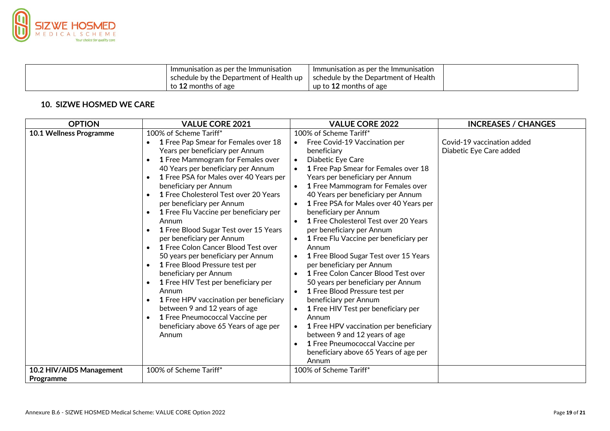

| Immunisation as per the Immunisation                    | Immunisation as per the Immunisation   |  |
|---------------------------------------------------------|----------------------------------------|--|
| $^\mathsf{I}\,$ schedule by the Department of Health up | I schedule by the Department of Health |  |
| to 12 months of age                                     | up to 12 months of age                 |  |

## **10. SIZWE HOSMED WE CARE**

| <b>OPTION</b>                                       | <b>VALUE CORE 2021</b>                                                                                                                                                                                                                                                                                                                                                                                                                                                                                                                                                                                                                                                                                                                                                                                                           | <b>VALUE CORE 2022</b>                                                                                                                                                                                                                                                                                                                                                                                                                                                                                                                                                                                                                                                                                                                                                                                                                                                                                             | <b>INCREASES / CHANGES</b>                            |
|-----------------------------------------------------|----------------------------------------------------------------------------------------------------------------------------------------------------------------------------------------------------------------------------------------------------------------------------------------------------------------------------------------------------------------------------------------------------------------------------------------------------------------------------------------------------------------------------------------------------------------------------------------------------------------------------------------------------------------------------------------------------------------------------------------------------------------------------------------------------------------------------------|--------------------------------------------------------------------------------------------------------------------------------------------------------------------------------------------------------------------------------------------------------------------------------------------------------------------------------------------------------------------------------------------------------------------------------------------------------------------------------------------------------------------------------------------------------------------------------------------------------------------------------------------------------------------------------------------------------------------------------------------------------------------------------------------------------------------------------------------------------------------------------------------------------------------|-------------------------------------------------------|
| 10.1 Wellness Programme<br>10.2 HIV/AIDS Management | 100% of Scheme Tariff*<br>1 Free Pap Smear for Females over 18<br>Years per beneficiary per Annum<br>1 Free Mammogram for Females over<br>40 Years per beneficiary per Annum<br>1 Free PSA for Males over 40 Years per<br>beneficiary per Annum<br>1 Free Cholesterol Test over 20 Years<br>per beneficiary per Annum<br>1 Free Flu Vaccine per beneficiary per<br>Annum<br>1 Free Blood Sugar Test over 15 Years<br>per beneficiary per Annum<br>1 Free Colon Cancer Blood Test over<br>50 years per beneficiary per Annum<br>1 Free Blood Pressure test per<br>beneficiary per Annum<br>1 Free HIV Test per beneficiary per<br>Annum<br>1 Free HPV vaccination per beneficiary<br>between 9 and 12 years of age<br>1 Free Pneumococcal Vaccine per<br>beneficiary above 65 Years of age per<br>Annum<br>100% of Scheme Tariff* | 100% of Scheme Tariff*<br>Free Covid-19 Vaccination per<br>beneficiary<br>Diabetic Eye Care<br>1 Free Pap Smear for Females over 18<br>Years per beneficiary per Annum<br>1 Free Mammogram for Females over<br>40 Years per beneficiary per Annum<br>1 Free PSA for Males over 40 Years per<br>beneficiary per Annum<br>1 Free Cholesterol Test over 20 Years<br>per beneficiary per Annum<br>1 Free Flu Vaccine per beneficiary per<br>Annum<br>1 Free Blood Sugar Test over 15 Years<br>per beneficiary per Annum<br>1 Free Colon Cancer Blood Test over<br>50 years per beneficiary per Annum<br>1 Free Blood Pressure test per<br>beneficiary per Annum<br>1 Free HIV Test per beneficiary per<br>Annum<br>1 Free HPV vaccination per beneficiary<br>$\bullet$<br>between 9 and 12 years of age<br>1 Free Pneumococcal Vaccine per<br>beneficiary above 65 Years of age per<br>Annum<br>100% of Scheme Tariff* | Covid-19 vaccination added<br>Diabetic Eye Care added |
| Programme                                           |                                                                                                                                                                                                                                                                                                                                                                                                                                                                                                                                                                                                                                                                                                                                                                                                                                  |                                                                                                                                                                                                                                                                                                                                                                                                                                                                                                                                                                                                                                                                                                                                                                                                                                                                                                                    |                                                       |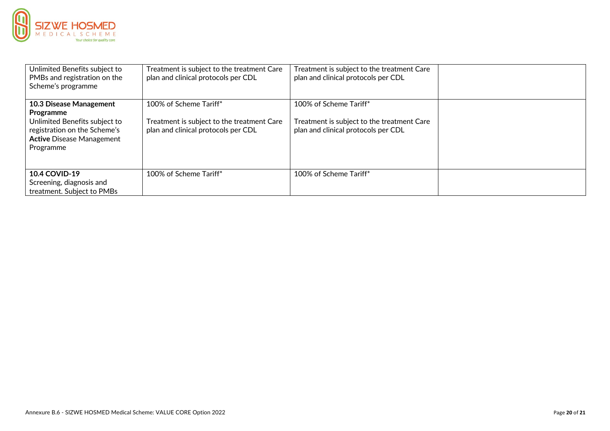

| Unlimited Benefits subject to<br>PMBs and registration on the<br>Scheme's programme                                                                    | Treatment is subject to the treatment Care<br>plan and clinical protocols per CDL                           | Treatment is subject to the treatment Care<br>plan and clinical protocols per CDL                           |  |
|--------------------------------------------------------------------------------------------------------------------------------------------------------|-------------------------------------------------------------------------------------------------------------|-------------------------------------------------------------------------------------------------------------|--|
| 10.3 Disease Management<br>Programme<br>Unlimited Benefits subject to<br>registration on the Scheme's<br><b>Active Disease Management</b><br>Programme | 100% of Scheme Tariff*<br>Treatment is subject to the treatment Care<br>plan and clinical protocols per CDL | 100% of Scheme Tariff*<br>Treatment is subject to the treatment Care<br>plan and clinical protocols per CDL |  |
| <b>10.4 COVID-19</b><br>Screening, diagnosis and<br>treatment. Subject to PMBs                                                                         | 100% of Scheme Tariff*                                                                                      | 100% of Scheme Tariff*                                                                                      |  |